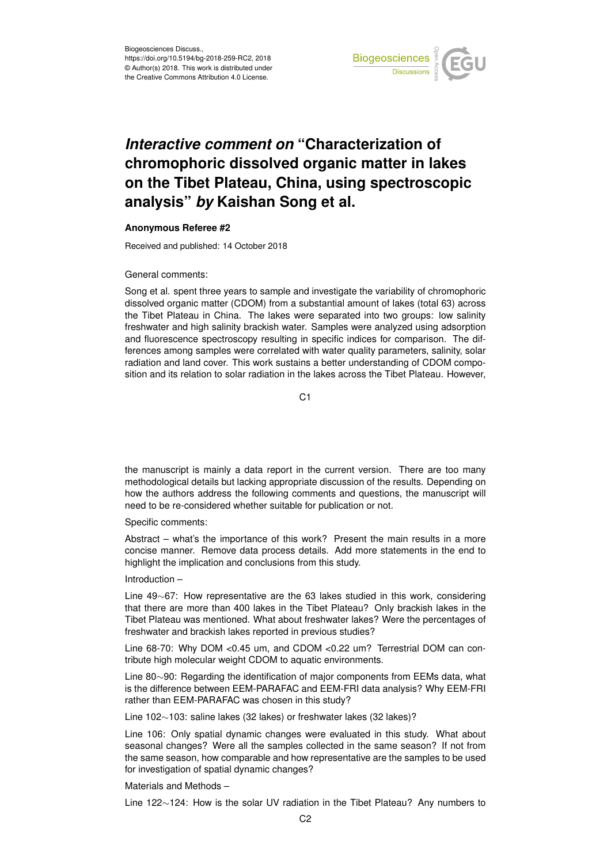

## *Interactive comment on* **"Characterization of chromophoric dissolved organic matter in lakes on the Tibet Plateau, China, using spectroscopic analysis"** *by* **Kaishan Song et al.**

## **Anonymous Referee #2**

Received and published: 14 October 2018

General comments:

Song et al. spent three years to sample and investigate the variability of chromophoric dissolved organic matter (CDOM) from a substantial amount of lakes (total 63) across the Tibet Plateau in China. The lakes were separated into two groups: low salinity freshwater and high salinity brackish water. Samples were analyzed using adsorption and fluorescence spectroscopy resulting in specific indices for comparison. The differences among samples were correlated with water quality parameters, salinity, solar radiation and land cover. This work sustains a better understanding of CDOM composition and its relation to solar radiation in the lakes across the Tibet Plateau. However,

 $C<sub>1</sub>$ 

the manuscript is mainly a data report in the current version. There are too many methodological details but lacking appropriate discussion of the results. Depending on how the authors address the following comments and questions, the manuscript will need to be re-considered whether suitable for publication or not.

Specific comments:

Abstract – what's the importance of this work? Present the main results in a more concise manner. Remove data process details. Add more statements in the end to highlight the implication and conclusions from this study.

Introduction –

Line 49∼67: How representative are the 63 lakes studied in this work, considering that there are more than 400 lakes in the Tibet Plateau? Only brackish lakes in the Tibet Plateau was mentioned. What about freshwater lakes? Were the percentages of freshwater and brackish lakes reported in previous studies?

Line 68-70: Why DOM <0.45 um, and CDOM <0.22 um? Terrestrial DOM can contribute high molecular weight CDOM to aquatic environments.

Line 80∼90: Regarding the identification of major components from EEMs data, what is the difference between EEM-PARAFAC and EEM-FRI data analysis? Why EEM-FRI rather than EEM-PARAFAC was chosen in this study?

Line 102∼103: saline lakes (32 lakes) or freshwater lakes (32 lakes)?

Line 106: Only spatial dynamic changes were evaluated in this study. What about seasonal changes? Were all the samples collected in the same season? If not from the same season, how comparable and how representative are the samples to be used for investigation of spatial dynamic changes?

Materials and Methods –

Line 122∼124: How is the solar UV radiation in the Tibet Plateau? Any numbers to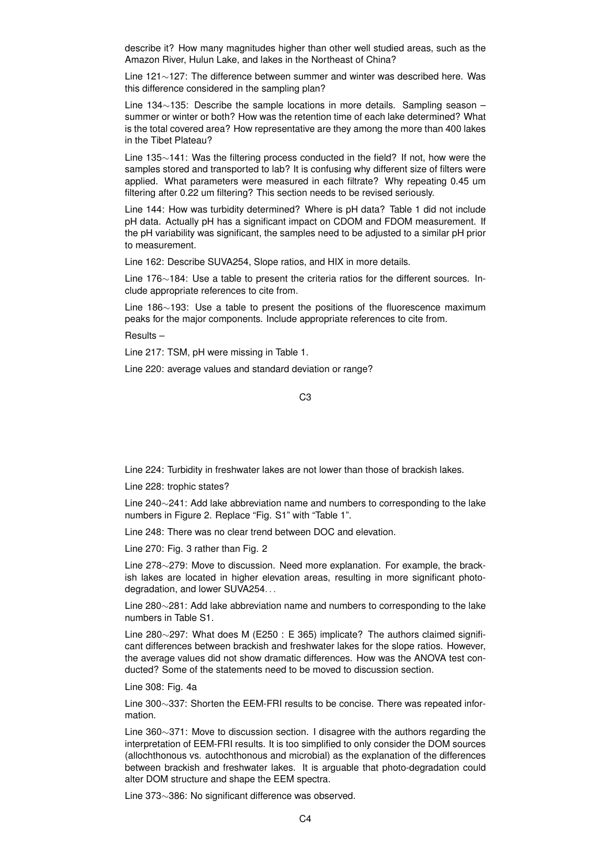describe it? How many magnitudes higher than other well studied areas, such as the Amazon River, Hulun Lake, and lakes in the Northeast of China?

Line 121∼127: The difference between summer and winter was described here. Was this difference considered in the sampling plan?

Line 134∼135: Describe the sample locations in more details. Sampling season – summer or winter or both? How was the retention time of each lake determined? What is the total covered area? How representative are they among the more than 400 lakes in the Tibet Plateau?

Line 135∼141: Was the filtering process conducted in the field? If not, how were the samples stored and transported to lab? It is confusing why different size of filters were applied. What parameters were measured in each filtrate? Why repeating 0.45 um filtering after 0.22 um filtering? This section needs to be revised seriously.

Line 144: How was turbidity determined? Where is pH data? Table 1 did not include pH data. Actually pH has a significant impact on CDOM and FDOM measurement. If the pH variability was significant, the samples need to be adjusted to a similar pH prior to measurement.

Line 162: Describe SUVA254, Slope ratios, and HIX in more details.

Line 176∼184: Use a table to present the criteria ratios for the different sources. Include appropriate references to cite from.

Line 186∼193: Use a table to present the positions of the fluorescence maximum peaks for the major components. Include appropriate references to cite from.

Results –

Line 217: TSM, pH were missing in Table 1.

Line 220: average values and standard deviation or range?

C3

Line 224: Turbidity in freshwater lakes are not lower than those of brackish lakes.

Line 228: trophic states?

Line 240∼241: Add lake abbreviation name and numbers to corresponding to the lake numbers in Figure 2. Replace "Fig. S1" with "Table 1".

Line 248: There was no clear trend between DOC and elevation.

Line 270: Fig. 3 rather than Fig. 2

Line 278∼279: Move to discussion. Need more explanation. For example, the brackish lakes are located in higher elevation areas, resulting in more significant photodegradation, and lower SUVA254. . .

Line 280∼281: Add lake abbreviation name and numbers to corresponding to the lake numbers in Table S1.

Line 280∼297: What does M (E250 : E 365) implicate? The authors claimed significant differences between brackish and freshwater lakes for the slope ratios. However, the average values did not show dramatic differences. How was the ANOVA test conducted? Some of the statements need to be moved to discussion section.

Line 308: Fig. 4a

Line 300∼337: Shorten the EEM-FRI results to be concise. There was repeated information.

Line 360∼371: Move to discussion section. I disagree with the authors regarding the interpretation of EEM-FRI results. It is too simplified to only consider the DOM sources (allochthonous vs. autochthonous and microbial) as the explanation of the differences between brackish and freshwater lakes. It is arguable that photo-degradation could alter DOM structure and shape the EEM spectra.

Line 373∼386: No significant difference was observed.